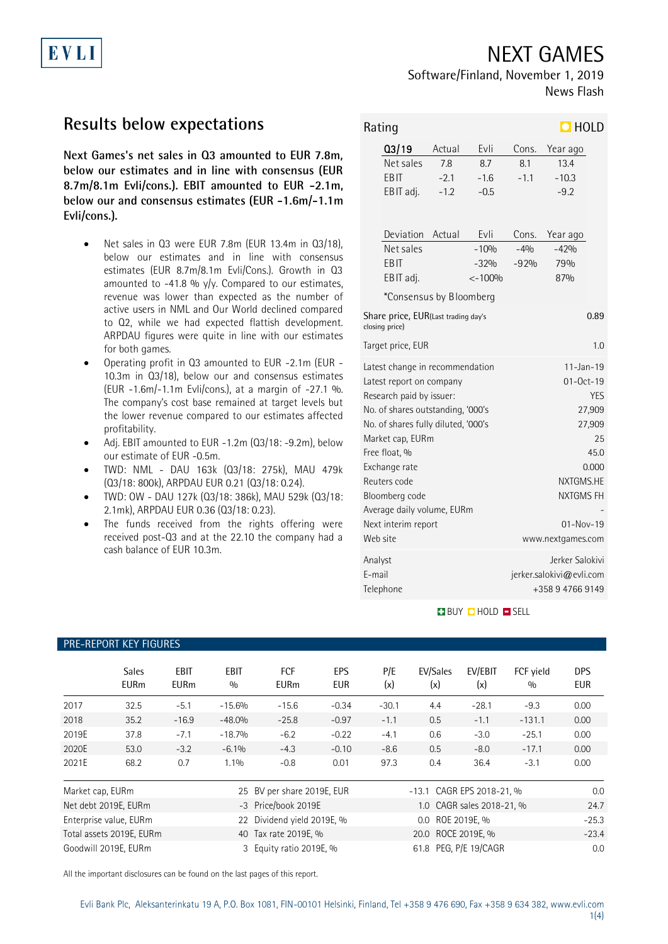# NEXT GAMES

### Software/Finland, November 1, 2019 News Flash

## **Results below expectations**

EVLI

**Next Games's net sales in Q3 amounted to EUR 7.8m, below our estimates and in line with consensus (EUR 8.7m/8.1m Evli/cons.). EBIT amounted to EUR -2.1m, below our and consensus estimates (EUR -1.6m/-1.1m Evli/cons.).**

• Net sales in Q3 were EUR 7.8m (EUR 13.4m in Q3/18), below our estimates and in line with consensus estimates (EUR 8.7m/8.1m Evli/Cons.). Growth in Q3 amounted to -41.8 %  $y/y$ . Compared to our estimates, revenue was lower than expected as the number of active users in NML and Our World declined compared to Q2, while we had expected flattish development. ARPDAU figures were quite in line with our estimates for both games.

• Operating profit in Q3 amounted to EUR -2.1m (EUR - 10.3m in Q3/18), below our and consensus estimates (EUR -1.6m/-1.1m Evli/cons.), at a margin of -27.1 %. The company's cost base remained at target levels but the lower revenue compared to our estimates affected profitability.

- Adj. EBIT amounted to EUR -1.2m (Q3/18: -9.2m), below our estimate of EUR -0.5m.
- TWD: NML DAU 163k (Q3/18: 275k), MAU 479k (Q3/18: 800k), ARPDAU EUR 0.21 (Q3/18: 0.24).
- TWD: OW DAU 127k (Q3/18: 386k), MAU 529k (Q3/18: 2.1mk), ARPDAU EUR 0.36 (Q3/18: 0.23).
- The funds received from the rights offering were received post-Q3 and at the 22.10 the company had a cash balance of EUR 10.3m.

PRE-REPORT KEY FIGURES

| $\Box$ HOLD<br>Rating                                         |                                     |        |                          |            |                  |  |  |
|---------------------------------------------------------------|-------------------------------------|--------|--------------------------|------------|------------------|--|--|
|                                                               | Q3/19                               | Actual | Evli                     | Cons.      | Year ago         |  |  |
|                                                               | Net sales                           | 7.8    | 8.7                      | 8.1        | 13.4             |  |  |
|                                                               | EBIT                                | $-2.1$ | $-1.6$                   | $-1.1$     | $-10.3$          |  |  |
|                                                               | EBIT adj.                           | $-1.2$ | $-0.5$                   |            | $-9.2$           |  |  |
|                                                               |                                     |        |                          |            |                  |  |  |
|                                                               | Deviation                           | Actual | Evli                     | Cons.      | Year ago         |  |  |
|                                                               | Net sales                           |        | $-10%$                   | $-4%$      | $-42%$           |  |  |
|                                                               | EBIT                                |        | $-32%$                   | $-92%$     | 79%              |  |  |
|                                                               | EBIT adj.                           |        | $< -100%$                |            | 87%              |  |  |
|                                                               | *Consensus by Bloomberg             |        |                          |            |                  |  |  |
| Share price, EUR(Last trading day's<br>0.89<br>closing price) |                                     |        |                          |            |                  |  |  |
|                                                               | Target price, EUR                   |        | 1.0                      |            |                  |  |  |
|                                                               | Latest change in recommendation     |        | $11 - Jan - 19$          |            |                  |  |  |
|                                                               | Latest report on company            |        | $01 - Oct - 19$          |            |                  |  |  |
|                                                               | Research paid by issuer:            |        |                          | <b>YES</b> |                  |  |  |
|                                                               | No. of shares outstanding, '000's   |        |                          | 27,909     |                  |  |  |
|                                                               | No. of shares fully diluted, '000's |        |                          | 27,909     |                  |  |  |
|                                                               | Market cap, EURm                    |        |                          | 25         |                  |  |  |
|                                                               | Free float, %                       |        |                          | 45.0       |                  |  |  |
|                                                               | Exchange rate                       |        | 0.000                    |            |                  |  |  |
|                                                               | Reuters code                        |        | NXTGMS.HE                |            |                  |  |  |
|                                                               | Bloomberg code                      |        | NXTGMS FH                |            |                  |  |  |
|                                                               | Average daily volume, EURm          |        |                          |            |                  |  |  |
|                                                               | Next interim report                 |        | $01 - Nov-19$            |            |                  |  |  |
| Web site                                                      |                                     |        | www.nextgames.com        |            |                  |  |  |
| Analyst                                                       |                                     |        | Jerker Salokivi          |            |                  |  |  |
| E-mail                                                        |                                     |        | jerker.salokivi@evli.com |            |                  |  |  |
|                                                               | Telephone                           |        |                          |            | +358 9 4766 9149 |  |  |

#### **BUY Q HOLD O SELL**

|                  | <b>Sales</b><br><b>EURm</b>                                            | EBIT<br><b>EURm</b>                               | <b>EBIT</b><br>0/0 | <b>FCF</b><br><b>EURm</b>  | <b>EPS</b><br><b>EUR</b> | P/E<br>(x) | EV/Sales<br>(x)           | EV/EBIT<br>(x)            | FCF yield<br>0/0 | <b>DPS</b><br><b>EUR</b> |
|------------------|------------------------------------------------------------------------|---------------------------------------------------|--------------------|----------------------------|--------------------------|------------|---------------------------|---------------------------|------------------|--------------------------|
| 2017             | 32.5                                                                   | $-5.1$                                            | $-15.6%$           | $-15.6$                    | $-0.34$                  | $-30.1$    | 4.4                       | $-28.1$                   | $-9.3$           | 0.00                     |
| 2018             | 35.2                                                                   | $-16.9$                                           | $-48.0%$           | $-25.8$                    | $-0.97$                  | $-1.1$     | 0.5                       | $-1.1$                    | $-131.1$         | 0.00                     |
| 2019E            | 37.8                                                                   | $-7.1$                                            | $-18.7%$           | $-6.2$                     | $-0.22$                  | $-4.1$     | 0.6                       | $-3.0$                    | $-25.1$          | 0.00                     |
| 2020E            | 53.0                                                                   | $-3.2$                                            | $-6.1%$            | $-4.3$                     | $-0.10$                  | $-8.6$     | 0.5                       | $-8.0$                    | $-17.1$          | 0.00                     |
| 2021E            | 68.2                                                                   | 0.7                                               | $1.1\%$            | $-0.8$                     | 0.01                     | 97.3       | 0.4                       | 36.4                      | $-3.1$           | 0.00                     |
| Market cap, EURm |                                                                        |                                                   |                    | 25 BV per share 2019E, EUR |                          |            | -13.1 CAGR EPS 2018-21, % |                           |                  | 0.0                      |
|                  | Net debt 2019E, EURm                                                   |                                                   |                    | -3 Price/book 2019E        |                          |            |                           | 1.0 CAGR sales 2018-21, % |                  | 24.7                     |
|                  | Enterprise value, EURm                                                 | Dividend yield 2019E, %<br>0.0 ROE 2019E, %<br>22 |                    |                            | $-25.3$                  |            |                           |                           |                  |                          |
|                  | 20.0 ROCE 2019E, %<br>Total assets 2019E, EURm<br>40 Tax rate 2019E, % |                                                   |                    | $-23.4$                    |                          |            |                           |                           |                  |                          |
|                  | Goodwill 2019E, EURm                                                   |                                                   | 3                  | Equity ratio 2019E, %      |                          |            | 61.8 PEG, P/E 19/CAGR     |                           |                  | 0.0                      |

All the important disclosures can be found on the last pages of this report.

#### 1(4)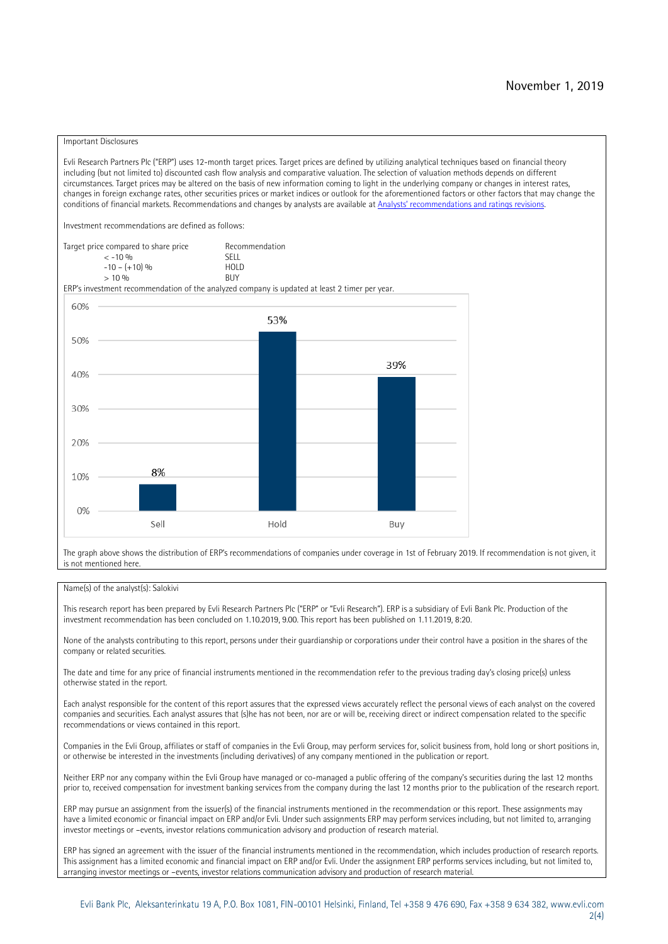#### Important Disclosures

Evli Research Partners Plc ("ERP") uses 12-month target prices. Target prices are defined by utilizing analytical techniques based on financial theory including (but not limited to) discounted cash flow analysis and comparative valuation. The selection of valuation methods depends on different circumstances. Target prices may be altered on the basis of new information coming to light in the underlying company or changes in interest rates, changes in foreign exchange rates, other securities prices or market indices or outlook for the aforementioned factors or other factors that may change the conditions of financial markets. Recommendations and changes by analysts are available at Analysts' recomm[endations and ratings revisions.](https://research.evli.com/JasperAllModels.action?authParam=key;461&authParam=x;G3rNagWrtf7K&authType=3)

Investment recommendations are defined as follows:

Target price compared to share price Recommendation<br>CELL CALLO 06 < -10 % SELL  $-10 - (+10) %$  HOL<br>  $> 10 %$  $> 10\%$ 

ERP's investment recommendation of the analyzed company is updated at least 2 timer per year.



The graph above shows the distribution of ERP's recommendations of companies under coverage in 1st of February 2019. If recommendation is not given, it is not mentioned here.

#### Name(s) of the analyst(s): Salokivi

This research report has been prepared by Evli Research Partners Plc ("ERP" or "Evli Research"). ERP is a subsidiary of Evli Bank Plc. Production of the investment recommendation has been concluded on 1.10.2019, 9.00. This report has been published on 1.11.2019, 8:20.

None of the analysts contributing to this report, persons under their guardianship or corporations under their control have a position in the shares of the company or related securities.

The date and time for any price of financial instruments mentioned in the recommendation refer to the previous trading day's closing price(s) unless otherwise stated in the report.

Each analyst responsible for the content of this report assures that the expressed views accurately reflect the personal views of each analyst on the covered companies and securities. Each analyst assures that (s)he has not been, nor are or will be, receiving direct or indirect compensation related to the specific recommendations or views contained in this report.

Companies in the Evli Group, affiliates or staff of companies in the Evli Group, may perform services for, solicit business from, hold long or short positions in, or otherwise be interested in the investments (including derivatives) of any company mentioned in the publication or report.

Neither ERP nor any company within the Evli Group have managed or co-managed a public offering of the company's securities during the last 12 months prior to, received compensation for investment banking services from the company during the last 12 months prior to the publication of the research report.

ERP may pursue an assignment from the issuer(s) of the financial instruments mentioned in the recommendation or this report. These assignments may have a limited economic or financial impact on ERP and/or Evli. Under such assignments ERP may perform services including, but not limited to, arranging investor meetings or –events, investor relations communication advisory and production of research material.

ERP has signed an agreement with the issuer of the financial instruments mentioned in the recommendation, which includes production of research reports. This assignment has a limited economic and financial impact on ERP and/or Evli. Under the assignment ERP performs services including, but not limited to, arranging investor meetings or –events, investor relations communication advisory and production of research material.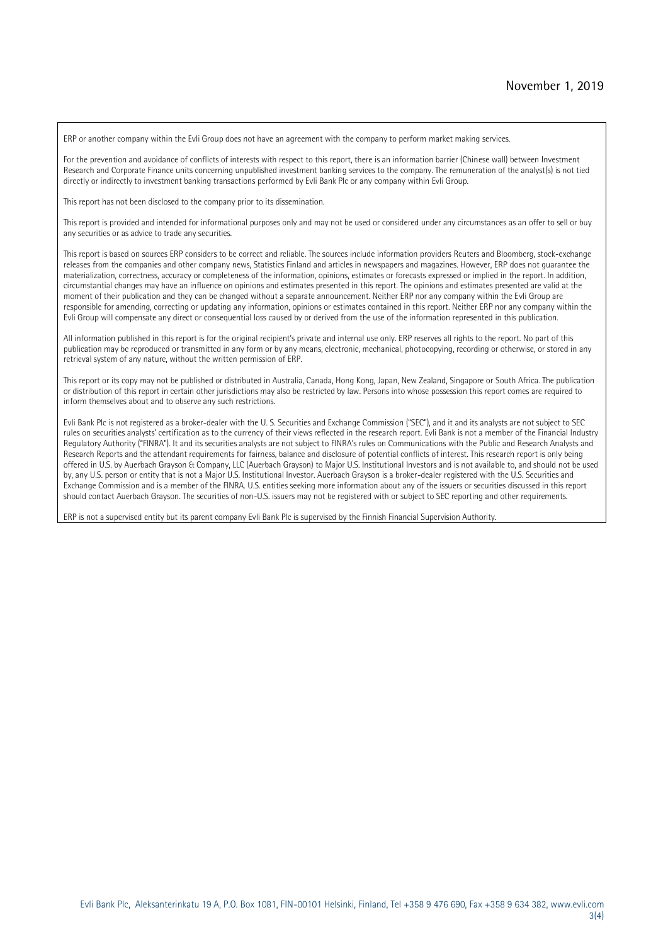ERP or another company within the Evli Group does not have an agreement with the company to perform market making services.

For the prevention and avoidance of conflicts of interests with respect to this report, there is an information barrier (Chinese wall) between Investment Research and Corporate Finance units concerning unpublished investment banking services to the company. The remuneration of the analyst(s) is not tied directly or indirectly to investment banking transactions performed by Evli Bank Plc or any company within Evli Group.

This report has not been disclosed to the company prior to its dissemination.

This report is provided and intended for informational purposes only and may not be used or considered under any circumstances as an offer to sell or buy any securities or as advice to trade any securities.

This report is based on sources ERP considers to be correct and reliable. The sources include information providers Reuters and Bloomberg, stock-exchange releases from the companies and other company news, Statistics Finland and articles in newspapers and magazines. However, ERP does not guarantee the materialization, correctness, accuracy or completeness of the information, opinions, estimates or forecasts expressed or implied in the report. In addition, circumstantial changes may have an influence on opinions and estimates presented in this report. The opinions and estimates presented are valid at the moment of their publication and they can be changed without a separate announcement. Neither ERP nor any company within the Evli Group are responsible for amending, correcting or updating any information, opinions or estimates contained in this report. Neither ERP nor any company within the Evli Group will compensate any direct or consequential loss caused by or derived from the use of the information represented in this publication.

All information published in this report is for the original recipient's private and internal use only. ERP reserves all rights to the report. No part of this publication may be reproduced or transmitted in any form or by any means, electronic, mechanical, photocopying, recording or otherwise, or stored in any retrieval system of any nature, without the written permission of ERP.

This report or its copy may not be published or distributed in Australia, Canada, Hong Kong, Japan, New Zealand, Singapore or South Africa. The publication or distribution of this report in certain other jurisdictions may also be restricted by law. Persons into whose possession this report comes are required to inform themselves about and to observe any such restrictions.

Evli Bank Plc is not registered as a broker-dealer with the U. S. Securities and Exchange Commission ("SEC"), and it and its analysts are not subject to SEC rules on securities analysts' certification as to the currency of their views reflected in the research report. Evli Bank is not a member of the Financial Industry Regulatory Authority ("FINRA"). It and its securities analysts are not subject to FINRA's rules on Communications with the Public and Research Analysts and Research Reports and the attendant requirements for fairness, balance and disclosure of potential conflicts of interest. This research report is only being offered in U.S. by Auerbach Grayson & Company, LLC (Auerbach Grayson) to Major U.S. Institutional Investors and is not available to, and should not be used by, any U.S. person or entity that is not a Major U.S. Institutional Investor. Auerbach Grayson is a broker-dealer registered with the U.S. Securities and Exchange Commission and is a member of the FINRA. U.S. entities seeking more information about any of the issuers or securities discussed in this report should contact Auerbach Grayson. The securities of non-U.S. issuers may not be registered with or subject to SEC reporting and other requirements.

ERP is not a supervised entity but its parent company Evli Bank Plc is supervised by the Finnish Financial Supervision Authority.